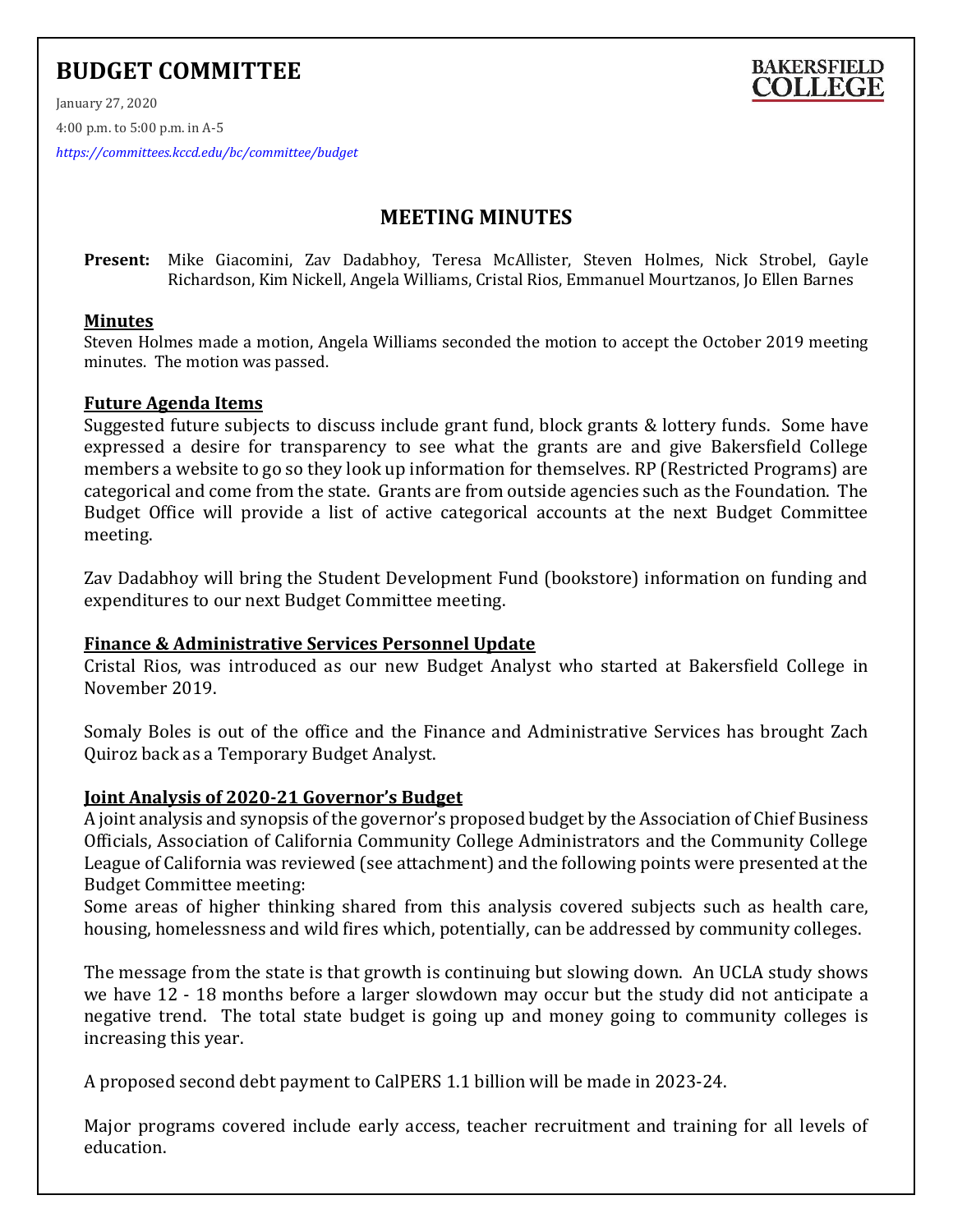# **BUDGET COMMITTEE**



January 27, 2020

4:00 p.m. to 5:00 p.m. in A-5

*<https://committees.kccd.edu/bc/committee/budget>*

## **MEETING MINUTES**

**Present:** Mike Giacomini, Zav Dadabhoy, Teresa McAllister, Steven Holmes, Nick Strobel, Gayle Richardson, Kim Nickell, Angela Williams, Cristal Rios, Emmanuel Mourtzanos, Jo Ellen Barnes

#### **Minutes**

Steven Holmes made a motion, Angela Williams seconded the motion to accept the October 2019 meeting minutes. The motion was passed.

#### **Future Agenda Items**

Suggested future subjects to discuss include grant fund, block grants & lottery funds. Some have expressed a desire for transparency to see what the grants are and give Bakersfield College members a website to go so they look up information for themselves. RP (Restricted Programs) are categorical and come from the state. Grants are from outside agencies such as the Foundation. The Budget Office will provide a list of active categorical accounts at the next Budget Committee meeting.

Zav Dadabhoy will bring the Student Development Fund (bookstore) information on funding and expenditures to our next Budget Committee meeting.

#### **Finance & Administrative Services Personnel Update**

Cristal Rios, was introduced as our new Budget Analyst who started at Bakersfield College in November 2019.

Somaly Boles is out of the office and the Finance and Administrative Services has brought Zach Quiroz back as a Temporary Budget Analyst.

#### **Joint Analysis of 2020-21 Governor's Budget**

A joint analysis and synopsis of the governor's proposed budget by the Association of Chief Business Officials, Association of California Community College Administrators and the Community College League of California was reviewed (see attachment) and the following points were presented at the Budget Committee meeting:

Some areas of higher thinking shared from this analysis covered subjects such as health care, housing, homelessness and wild fires which, potentially, can be addressed by community colleges.

The message from the state is that growth is continuing but slowing down. An UCLA study shows we have 12 - 18 months before a larger slowdown may occur but the study did not anticipate a negative trend. The total state budget is going up and money going to community colleges is increasing this year.

A proposed second debt payment to CalPERS 1.1 billion will be made in 2023-24.

Major programs covered include early access, teacher recruitment and training for all levels of education.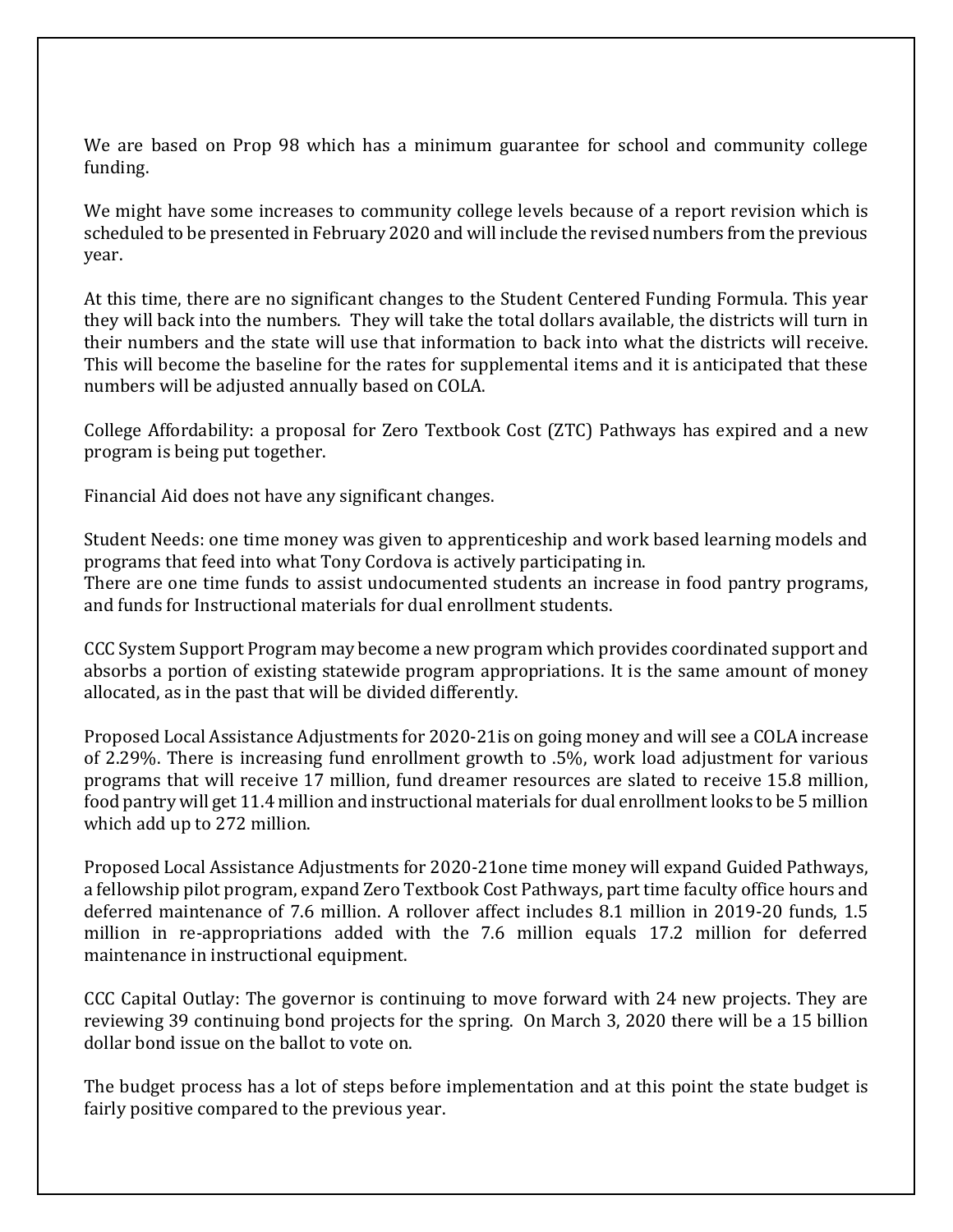We are based on Prop 98 which has a minimum guarantee for school and community college funding.

We might have some increases to community college levels because of a report revision which is scheduled to be presented in February 2020 and will include the revised numbers from the previous year.

At this time, there are no significant changes to the Student Centered Funding Formula. This year they will back into the numbers. They will take the total dollars available, the districts will turn in their numbers and the state will use that information to back into what the districts will receive. This will become the baseline for the rates for supplemental items and it is anticipated that these numbers will be adjusted annually based on COLA.

College Affordability: a proposal for Zero Textbook Cost (ZTC) Pathways has expired and a new program is being put together.

Financial Aid does not have any significant changes.

Student Needs: one time money was given to apprenticeship and work based learning models and programs that feed into what Tony Cordova is actively participating in. There are one time funds to assist undocumented students an increase in food pantry programs, and funds for Instructional materials for dual enrollment students.

CCC System Support Program may become a new program which provides coordinated support and absorbs a portion of existing statewide program appropriations. It is the same amount of money allocated, as in the past that will be divided differently.

Proposed Local Assistance Adjustments for 2020-21is on going money and will see a COLA increase of 2.29%. There is increasing fund enrollment growth to .5%, work load adjustment for various programs that will receive 17 million, fund dreamer resources are slated to receive 15.8 million, food pantry will get 11.4 million and instructional materials for dual enrollment looks to be 5 million which add up to 272 million.

Proposed Local Assistance Adjustments for 2020-21one time money will expand Guided Pathways, a fellowship pilot program, expand Zero Textbook Cost Pathways, part time faculty office hours and deferred maintenance of 7.6 million. A rollover affect includes 8.1 million in 2019-20 funds, 1.5 million in re-appropriations added with the 7.6 million equals 17.2 million for deferred maintenance in instructional equipment.

CCC Capital Outlay: The governor is continuing to move forward with 24 new projects. They are reviewing 39 continuing bond projects for the spring. On March 3, 2020 there will be a 15 billion dollar bond issue on the ballot to vote on.

The budget process has a lot of steps before implementation and at this point the state budget is fairly positive compared to the previous year.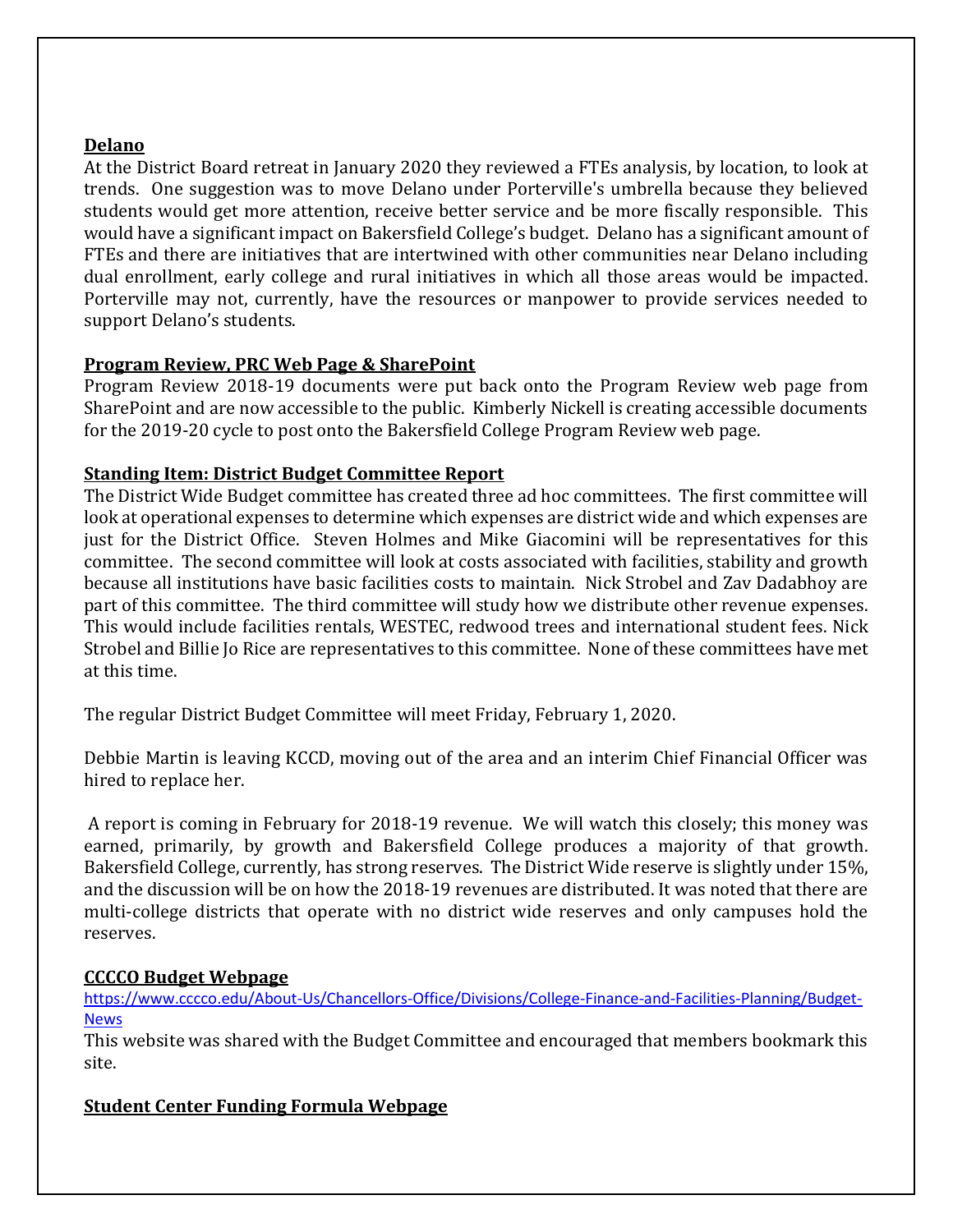#### **Delano**

At the District Board retreat in January 2020 they reviewed a FTEs analysis, by location, to look at trends. One suggestion was to move Delano under Porterville's umbrella because they believed students would get more attention, receive better service and be more fiscally responsible. This would have a significant impact on Bakersfield College's budget. Delano has a significant amount of FTEs and there are initiatives that are intertwined with other communities near Delano including dual enrollment, early college and rural initiatives in which all those areas would be impacted. Porterville may not, currently, have the resources or manpower to provide services needed to support Delano's students.

## **Program Review, PRC Web Page & SharePoint**

Program Review 2018-19 documents were put back onto the Program Review web page from SharePoint and are now accessible to the public. Kimberly Nickell is creating accessible documents for the 2019-20 cycle to post onto the Bakersfield College Program Review web page.

### **Standing Item: District Budget Committee Report**

The District Wide Budget committee has created three ad hoc committees. The first committee will look at operational expenses to determine which expenses are district wide and which expenses are just for the District Office. Steven Holmes and Mike Giacomini will be representatives for this committee. The second committee will look at costs associated with facilities, stability and growth because all institutions have basic facilities costs to maintain. Nick Strobel and Zav Dadabhoy are part of this committee. The third committee will study how we distribute other revenue expenses. This would include facilities rentals, WESTEC, redwood trees and international student fees. Nick Strobel and Billie Jo Rice are representatives to this committee. None of these committees have met at this time.

The regular District Budget Committee will meet Friday, February 1, 2020.

Debbie Martin is leaving KCCD, moving out of the area and an interim Chief Financial Officer was hired to replace her.

A report is coming in February for 2018-19 revenue. We will watch this closely; this money was earned, primarily, by growth and Bakersfield College produces a majority of that growth. Bakersfield College, currently, has strong reserves. The District Wide reserve is slightly under 15%, and the discussion will be on how the 2018-19 revenues are distributed. It was noted that there are multi-college districts that operate with no district wide reserves and only campuses hold the reserves.

#### **CCCCO Budget Webpage**

[https://www.cccco.edu/About-Us/Chancellors-Office/Divisions/College-Finance-and-Facilities-Planning/Budget-](https://www.cccco.edu/About-Us/Chancellors-Office/Divisions/College-Finance-and-Facilities-Planning/Budget-News)**[News](https://www.cccco.edu/About-Us/Chancellors-Office/Divisions/College-Finance-and-Facilities-Planning/Budget-News)** 

This website was shared with the Budget Committee and encouraged that members bookmark this site.

## **Student Center Funding Formula Webpage**